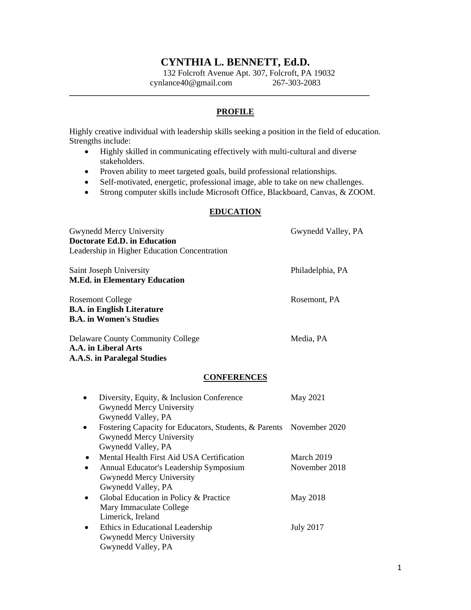# **CYNTHIA L. BENNETT, Ed.D.**

132 Folcroft Avenue Apt. 307, Folcroft, PA 19032 cynlance40@gmail.com 267-303-2083

### **PROFILE**

Highly creative individual with leadership skills seeking a position in the field of education. Strengths include:

• Highly skilled in communicating effectively with multi-cultural and diverse stakeholders.

**\_\_\_\_\_\_\_\_\_\_\_\_\_\_\_\_\_\_\_\_\_\_\_\_\_\_\_\_\_\_\_\_\_\_\_\_\_\_\_\_\_\_\_\_\_\_\_\_\_\_\_\_\_\_\_\_\_\_\_\_\_\_\_\_\_\_\_\_\_\_\_**

- Proven ability to meet targeted goals, build professional relationships.
- Self-motivated, energetic, professional image, able to take on new challenges.
- Strong computer skills include Microsoft Office, Blackboard, Canvas, & ZOOM.

### **EDUCATION**

| <b>Gwynedd Mercy University</b>                                                                                                                           | Gwynedd Valley, PA          |
|-----------------------------------------------------------------------------------------------------------------------------------------------------------|-----------------------------|
| <b>Doctorate Ed.D. in Education</b>                                                                                                                       |                             |
| Leadership in Higher Education Concentration                                                                                                              |                             |
| Saint Joseph University<br><b>M.Ed. in Elementary Education</b>                                                                                           | Philadelphia, PA            |
| <b>Rosemont College</b><br><b>B.A.</b> in English Literature<br><b>B.A.</b> in Women's Studies                                                            | Rosemont, PA                |
| <b>Delaware County Community College</b><br>A.A. in Liberal Arts<br><b>A.A.S. in Paralegal Studies</b>                                                    | Media, PA                   |
| <b>CONFERENCES</b>                                                                                                                                        |                             |
| Diversity, Equity, & Inclusion Conference<br><b>Gwynedd Mercy University</b><br>Gwynedd Valley, PA                                                        | May 2021                    |
| Fostering Capacity for Educators, Students, & Parents November 2020<br>Gwynedd Mercy University<br>Gwynedd Valley, PA                                     |                             |
| Mental Health First Aid USA Certification<br>Annual Educator's Leadership Symposium<br>$\bullet$<br><b>Gwynedd Mercy University</b><br>Gwynedd Valley, PA | March 2019<br>November 2018 |
| Global Education in Policy & Practice<br>$\bullet$<br>Mary Immaculate College<br>Limerick, Ireland                                                        | May 2018                    |
| Ethics in Educational Leadership<br>$\bullet$<br><b>Gwynedd Mercy University</b><br>Gwynedd Valley, PA                                                    | <b>July 2017</b>            |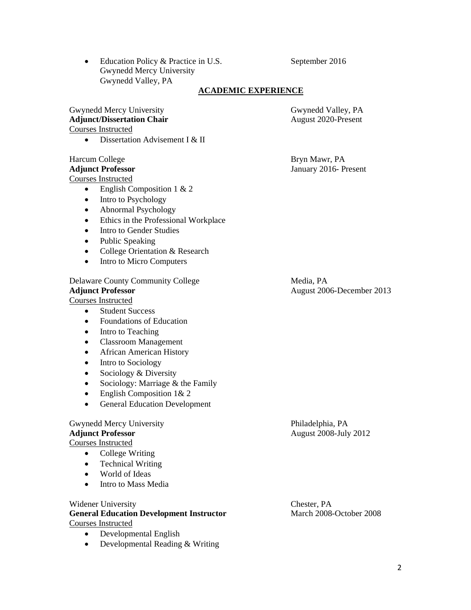• Education Policy & Practice in U.S. September 2016 Gwynedd Mercy University Gwynedd Valley, PA

### **ACADEMIC EXPERIENCE**

### Gwynedd Mercy University Gwynedd Valley, PA **Adjunct/Dissertation Chair August 2020-Present** Courses Instructed

• Dissertation Advisement I & II

# Harcum College Bryn Mawr, PA

Courses Instructed

- English Composition  $1 \& 2$
- Intro to Psychology
- Abnormal Psychology
- Ethics in the Professional Workplace
- Intro to Gender Studies
- Public Speaking
- College Orientation & Research
- Intro to Micro Computers

# Delaware County Community College Media, PA Adjunct Professor **August 2006-December 2013**

# Courses Instructed

- Student Success
- Foundations of Education
- Intro to Teaching
- Classroom Management
- African American History
- Intro to Sociology
- Sociology & Diversity
- Sociology: Marriage & the Family
- English Composition 1& 2
- General Education Development

# Gwynedd Mercy University Philadelphia, PA

# Courses Instructed

- College Writing
- Technical Writing
- World of Ideas
- Intro to Mass Media

## Widener University Chester, PA

## General Education Development Instructor March 2008-October 2008 Courses Instructed

- Developmental English
- Developmental Reading & Writing

**Adjunct Professor** January 2016- Present

**Adjunct Professor August 2008-July 2012**